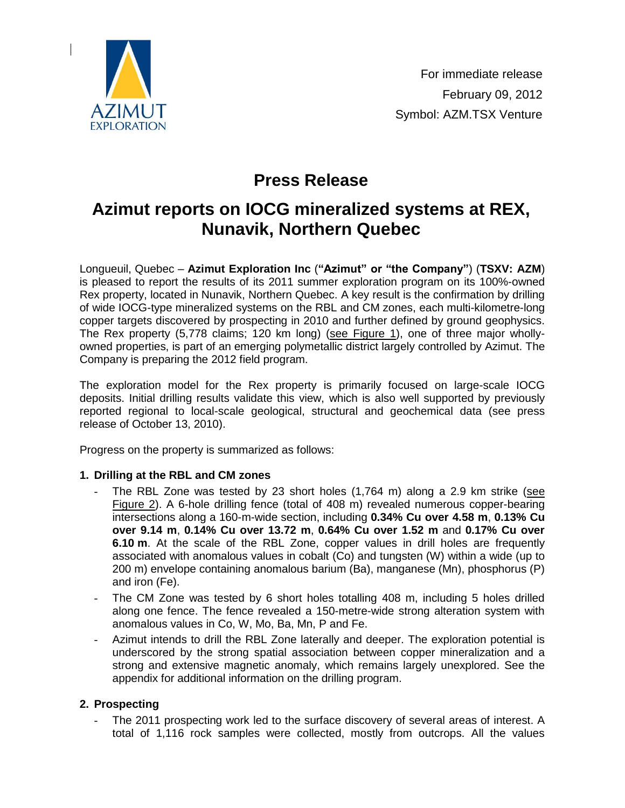

# **Press Release**

# **Azimut reports on IOCG mineralized systems at REX, Nunavik, Northern Quebec**

Longueuil, Quebec – **Azimut Exploration Inc** (**"Azimut" or "the Company"**) (**TSXV: AZM**) is pleased to report the results of its 2011 summer exploration program on its 100%-owned Rex property, located in Nunavik, Northern Quebec. A key result is the confirmation by drilling of wide IOCG-type mineralized systems on the RBL and CM zones, each multi-kilometre-long copper targets discovered by prospecting in 2010 and further defined by ground geophysics. The Rex property (5,778 claims; 120 km long) [\(see Figure 1\),](http://www.azimut-exploration.com/en/presentations/AZM_Rex_20120209_Fig1.pdf) one of three major whollyowned properties, is part of an emerging polymetallic district largely controlled by Azimut. The Company is preparing the 2012 field program.

The exploration model for the Rex property is primarily focused on large-scale IOCG deposits. Initial drilling results validate this view, which is also well supported by previously reported regional to local-scale geological, structural and geochemical data (see press release of October 13, 2010).

Progress on the property is summarized as follows:

## **1. Drilling at the RBL and CM zones**

- The RBL Zone was tested by 23 short holes (1,764 m) along a 2.9 km strike [\(see](http://www.azimut-exploration.com/en/presentations/AZM_Rex_20120209_Fig2.pdf)  [Figure](http://www.azimut-exploration.com/en/presentations/AZM_Rex_20120209_Fig2.pdf) 2). A 6-hole drilling fence (total of 408 m) revealed numerous copper-bearing intersections along a 160-m-wide section, including **0.34% Cu over 4.58 m**, **0.13% Cu over 9.14 m**, **0.14% Cu over 13.72 m**, **0.64% Cu over 1.52 m** and **0.17% Cu over 6.10 m**. At the scale of the RBL Zone, copper values in drill holes are frequently associated with anomalous values in cobalt (Co) and tungsten (W) within a wide (up to 200 m) envelope containing anomalous barium (Ba), manganese (Mn), phosphorus (P) and iron (Fe).
- The CM Zone was tested by 6 short holes totalling 408 m, including 5 holes drilled along one fence. The fence revealed a 150-metre-wide strong alteration system with anomalous values in Co, W, Mo, Ba, Mn, P and Fe.
- Azimut intends to drill the RBL Zone laterally and deeper. The exploration potential is underscored by the strong spatial association between copper mineralization and a strong and extensive magnetic anomaly, which remains largely unexplored. See the appendix for additional information on the drilling program.

# **2. Prospecting**

The 2011 prospecting work led to the surface discovery of several areas of interest. A total of 1,116 rock samples were collected, mostly from outcrops. All the values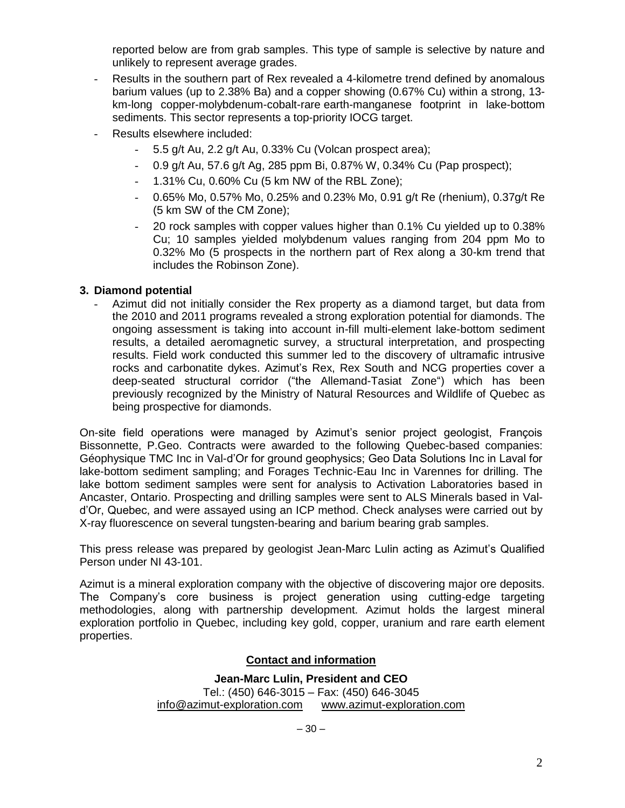reported below are from grab samples. This type of sample is selective by nature and unlikely to represent average grades.

- Results in the southern part of Rex revealed a 4-kilometre trend defined by anomalous barium values (up to 2.38% Ba) and a copper showing (0.67% Cu) within a strong, 13 km-long copper-molybdenum-cobalt-rare earth-manganese footprint in lake-bottom sediments. This sector represents a top-priority IOCG target.
- Results elsewhere included:
	- 5.5 g/t Au, 2.2 g/t Au, 0.33% Cu (Volcan prospect area);
	- 0.9 g/t Au, 57.6 g/t Ag, 285 ppm Bi, 0.87% W, 0.34% Cu (Pap prospect);
	- 1.31% Cu, 0.60% Cu (5 km NW of the RBL Zone);
	- 0.65% Mo, 0.57% Mo, 0.25% and 0.23% Mo, 0.91 g/t Re (rhenium), 0.37g/t Re (5 km SW of the CM Zone);
	- 20 rock samples with copper values higher than 0.1% Cu yielded up to 0.38% Cu; 10 samples yielded molybdenum values ranging from 204 ppm Mo to 0.32% Mo (5 prospects in the northern part of Rex along a 30-km trend that includes the Robinson Zone).

## **3. Diamond potential**

Azimut did not initially consider the Rex property as a diamond target, but data from the 2010 and 2011 programs revealed a strong exploration potential for diamonds. The ongoing assessment is taking into account in-fill multi-element lake-bottom sediment results, a detailed aeromagnetic survey, a structural interpretation, and prospecting results. Field work conducted this summer led to the discovery of ultramafic intrusive rocks and carbonatite dykes. Azimut's Rex, Rex South and NCG properties cover a deep-seated structural corridor ("the Allemand-Tasiat Zone") which has been previously recognized by the Ministry of Natural Resources and Wildlife of Quebec as being prospective for diamonds.

On-site field operations were managed by Azimut's senior project geologist, François Bissonnette, P.Geo. Contracts were awarded to the following Quebec-based companies: Géophysique TMC Inc in Val-d'Or for ground geophysics; Geo Data Solutions Inc in Laval for lake-bottom sediment sampling; and Forages Technic-Eau Inc in Varennes for drilling. The lake bottom sediment samples were sent for analysis to Activation Laboratories based in Ancaster, Ontario. Prospecting and drilling samples were sent to ALS Minerals based in Vald'Or, Quebec, and were assayed using an ICP method. Check analyses were carried out by X-ray fluorescence on several tungsten-bearing and barium bearing grab samples.

This press release was prepared by geologist Jean-Marc Lulin acting as Azimut's Qualified Person under NI 43-101.

Azimut is a mineral exploration company with the objective of discovering major ore deposits. The Company's core business is project generation using cutting-edge targeting methodologies, along with partnership development. Azimut holds the largest mineral exploration portfolio in Quebec, including key gold, copper, uranium and rare earth element properties.

## **Contact and information**

**Jean-Marc Lulin, President and CEO** Tel.: (450) 646-3015 – Fax: (450) 646-3045 [info@azimut-exploration.com](mailto:info@azimut-exploration.com) [www.azimut-exploration.com](http://www.azimut-exploration.com/)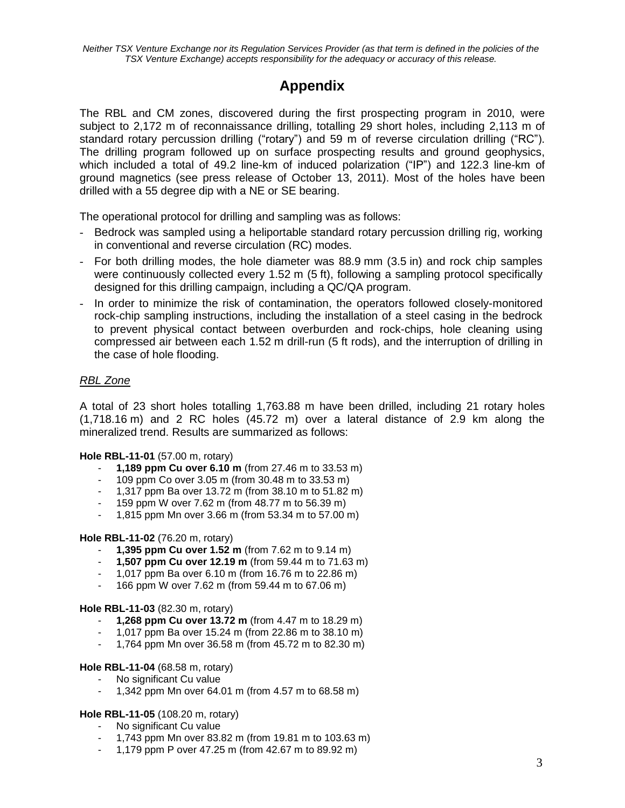# **Appendix**

The RBL and CM zones, discovered during the first prospecting program in 2010, were subject to 2,172 m of reconnaissance drilling, totalling 29 short holes, including 2,113 m of standard rotary percussion drilling ("rotary") and 59 m of reverse circulation drilling ("RC"). The drilling program followed up on surface prospecting results and ground geophysics, which included a total of 49.2 line-km of induced polarization ("IP") and 122.3 line-km of ground magnetics (see press release of October 13, 2011). Most of the holes have been drilled with a 55 degree dip with a NE or SE bearing.

The operational protocol for drilling and sampling was as follows:

- Bedrock was sampled using a heliportable standard rotary percussion drilling rig, working in conventional and reverse circulation (RC) modes.
- For both drilling modes, the hole diameter was 88.9 mm (3.5 in) and rock chip samples were continuously collected every 1.52 m (5 ft), following a sampling protocol specifically designed for this drilling campaign, including a QC/QA program.
- In order to minimize the risk of contamination, the operators followed closely-monitored rock-chip sampling instructions, including the installation of a steel casing in the bedrock to prevent physical contact between overburden and rock-chips, hole cleaning using compressed air between each 1.52 m drill-run (5 ft rods), and the interruption of drilling in the case of hole flooding.

# *RBL Zone*

A total of 23 short holes totalling 1,763.88 m have been drilled, including 21 rotary holes (1,718.16 m) and 2 RC holes (45.72 m) over a lateral distance of 2.9 km along the mineralized trend. Results are summarized as follows:

## **Hole RBL-11-01** (57.00 m, rotary)

- **1,189 ppm Cu over 6.10 m** (from 27.46 m to 33.53 m)
- 109 ppm Co over 3.05 m (from 30.48 m to 33.53 m)
- 1,317 ppm Ba over 13.72 m (from 38.10 m to 51.82 m)
- 159 ppm W over 7.62 m (from 48.77 m to 56.39 m)
- 1,815 ppm Mn over 3.66 m (from 53.34 m to 57.00 m)

#### **Hole RBL-11-02** (76.20 m, rotary)

- **1,395 ppm Cu over 1.52 m** (from 7.62 m to 9.14 m)
- **1,507 ppm Cu over 12.19 m** (from 59.44 m to 71.63 m)
- 1,017 ppm Ba over 6.10 m (from 16.76 m to 22.86 m)
- 166 ppm W over 7.62 m (from 59.44 m to 67.06 m)

#### **Hole RBL-11-03** (82.30 m, rotary)

- **1,268 ppm Cu over 13.72 m** (from 4.47 m to 18.29 m)
- 1,017 ppm Ba over 15.24 m (from 22.86 m to 38.10 m)
- 1,764 ppm Mn over 36.58 m (from 45.72 m to 82.30 m)

#### **Hole RBL-11-04** (68.58 m, rotary)

- No significant Cu value
- 1,342 ppm Mn over 64.01 m (from 4.57 m to 68.58 m)

#### **Hole RBL-11-05** (108.20 m, rotary)

- No significant Cu value
- 1,743 ppm Mn over 83.82 m (from 19.81 m to 103.63 m)
- 1,179 ppm P over 47.25 m (from 42.67 m to 89.92 m)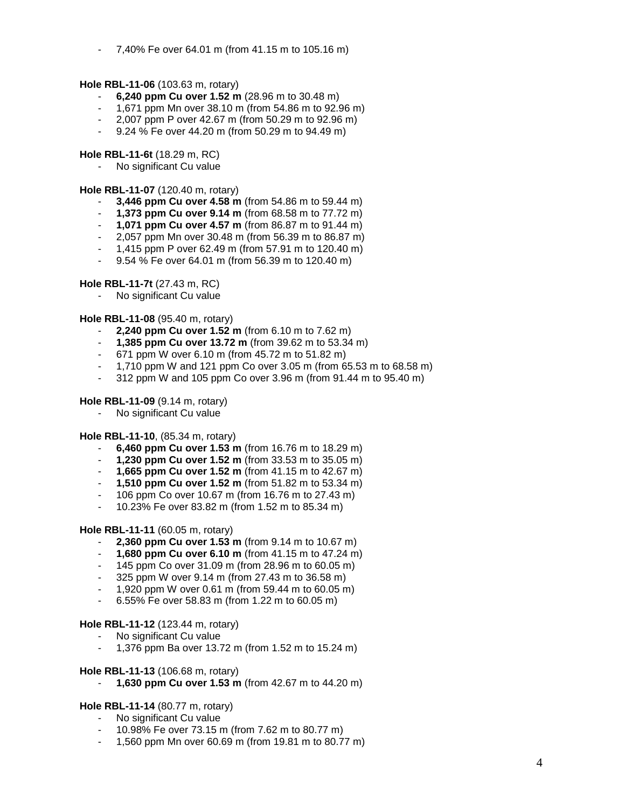- 7,40% Fe over 64.01 m (from 41.15 m to 105.16 m)

#### **Hole RBL-11-06** (103.63 m, rotary)

- **6,240 ppm Cu over 1.52 m** (28.96 m to 30.48 m)
- 1,671 ppm Mn over 38.10 m (from 54.86 m to 92.96 m)
- 2,007 ppm P over 42.67 m (from 50.29 m to 92.96 m)
- 9.24 % Fe over 44.20 m (from 50.29 m to 94.49 m)

**Hole RBL-11-6t** (18.29 m, RC)

No significant Cu value

**Hole RBL-11-07** (120.40 m, rotary)

- **3,446 ppm Cu over 4.58 m** (from 54.86 m to 59.44 m)
- **1,373 ppm Cu over 9.14 m** (from 68.58 m to 77.72 m)
- **1,071 ppm Cu over 4.57 m** (from 86.87 m to 91.44 m)
- 2,057 ppm Mn over 30.48 m (from 56.39 m to 86.87 m)
- 1,415 ppm P over 62.49 m (from 57.91 m to 120.40 m)
- 9.54 % Fe over 64.01 m (from 56.39 m to 120.40 m)

**Hole RBL-11-7t** (27.43 m, RC)

No significant Cu value

**Hole RBL-11-08** (95.40 m, rotary)

- **2,240 ppm Cu over 1.52 m** (from 6.10 m to 7.62 m)
- **1,385 ppm Cu over 13.72 m** (from 39.62 m to 53.34 m)
- 671 ppm W over 6.10 m (from 45.72 m to 51.82 m)
- 1,710 ppm W and 121 ppm Co over 3.05 m (from 65.53 m to 68.58 m)
- 312 ppm W and 105 ppm Co over 3.96 m (from 91.44 m to 95.40 m)

#### **Hole RBL-11-09** (9.14 m, rotary)

No significant Cu value

**Hole RBL-11-10**, (85.34 m, rotary)

- **6,460 ppm Cu over 1.53 m** (from 16.76 m to 18.29 m)
- **1,230 ppm Cu over 1.52 m** (from 33.53 m to 35.05 m)
- **1,665 ppm Cu over 1.52 m** (from 41.15 m to 42.67 m)
- **1,510 ppm Cu over 1.52 m** (from 51.82 m to 53.34 m)
- 106 ppm Co over 10.67 m (from 16.76 m to 27.43 m)
- 10.23% Fe over 83.82 m (from 1.52 m to 85.34 m)

**Hole RBL-11-11** (60.05 m, rotary)

- **2,360 ppm Cu over 1.53 m** (from 9.14 m to 10.67 m)
- **1,680 ppm Cu over 6.10 m** (from 41.15 m to 47.24 m)
- 145 ppm Co over 31.09 m (from 28.96 m to 60.05 m)
- 325 ppm W over 9.14 m (from 27.43 m to 36.58 m)
- 1,920 ppm W over 0.61 m (from 59.44 m to 60.05 m)
- 6.55% Fe over 58.83 m (from 1.22 m to 60.05 m)

#### **Hole RBL-11-12** (123.44 m, rotary)

- No significant Cu value
- 1,376 ppm Ba over 13.72 m (from 1.52 m to 15.24 m)

#### **Hole RBL-11-13** (106.68 m, rotary)

**1,630 ppm Cu over 1.53 m** (from 42.67 m to 44.20 m)

# **Hole RBL-11-14** (80.77 m, rotary)

- No significant Cu value
- 10.98% Fe over 73.15 m (from 7.62 m to 80.77 m)
- 1,560 ppm Mn over 60.69 m (from 19.81 m to 80.77 m)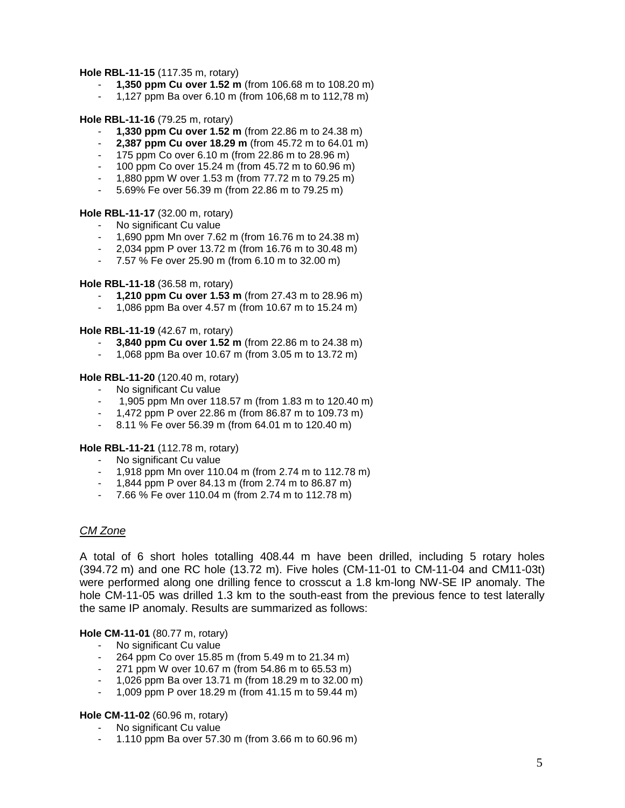#### **Hole RBL-11-15** (117.35 m, rotary)

- **1,350 ppm Cu over 1.52 m** (from 106.68 m to 108.20 m)
- 1,127 ppm Ba over 6.10 m (from 106,68 m to 112,78 m)

**Hole RBL-11-16** (79.25 m, rotary)

- **1,330 ppm Cu over 1.52 m** (from 22.86 m to 24.38 m)
- **2,387 ppm Cu over 18.29 m** (from 45.72 m to 64.01 m)
- 175 ppm Co over 6.10 m (from 22.86 m to 28.96 m)
- 100 ppm Co over 15.24 m (from 45.72 m to 60.96 m)
- 1,880 ppm W over 1.53 m (from 77.72 m to 79.25 m)
- 5.69% Fe over 56.39 m (from 22.86 m to 79.25 m)

#### **Hole RBL-11-17** (32.00 m, rotary)

- No significant Cu value
- 1,690 ppm Mn over 7.62 m (from 16.76 m to 24.38 m)
- 2,034 ppm P over 13.72 m (from 16.76 m to 30.48 m)
- 7.57 % Fe over 25.90 m (from 6.10 m to 32.00 m)

**Hole RBL-11-18** (36.58 m, rotary)

- **1,210 ppm Cu over 1.53 m** (from 27.43 m to 28.96 m)
- 1,086 ppm Ba over 4.57 m (from 10.67 m to 15.24 m)

**Hole RBL-11-19** (42.67 m, rotary)

- **3,840 ppm Cu over 1.52 m** (from 22.86 m to 24.38 m)
- 1,068 ppm Ba over 10.67 m (from 3.05 m to 13.72 m)

**Hole RBL-11-20** (120.40 m, rotary)

- No significant Cu value
- 1,905 ppm Mn over 118.57 m (from 1.83 m to 120.40 m)
- 1,472 ppm P over 22.86 m (from 86.87 m to 109.73 m)
- 8.11 % Fe over 56.39 m (from 64.01 m to 120.40 m)

**Hole RBL-11-21** (112.78 m, rotary)

- No significant Cu value
- 1,918 ppm Mn over 110.04 m (from 2.74 m to 112.78 m)
- 1,844 ppm P over 84.13 m (from 2.74 m to 86.87 m)
- 7.66 % Fe over 110.04 m (from 2.74 m to 112.78 m)

#### *CM Zone*

A total of 6 short holes totalling 408.44 m have been drilled, including 5 rotary holes (394.72 m) and one RC hole (13.72 m). Five holes (CM-11-01 to CM-11-04 and CM11-03t) were performed along one drilling fence to crosscut a 1.8 km-long NW-SE IP anomaly. The hole CM-11-05 was drilled 1.3 km to the south-east from the previous fence to test laterally the same IP anomaly. Results are summarized as follows:

#### **Hole CM-11-01** (80.77 m, rotary)

- No significant Cu value
- 264 ppm Co over 15.85 m (from 5.49 m to 21.34 m)
- 271 ppm W over 10.67 m (from 54.86 m to 65.53 m)
- 1,026 ppm Ba over 13.71 m (from 18.29 m to 32.00 m)
- 1,009 ppm P over 18.29 m (from 41.15 m to 59.44 m)

#### **Hole CM-11-02** (60.96 m, rotary)

- No significant Cu value
- 1.110 ppm Ba over 57.30 m (from 3.66 m to 60.96 m)